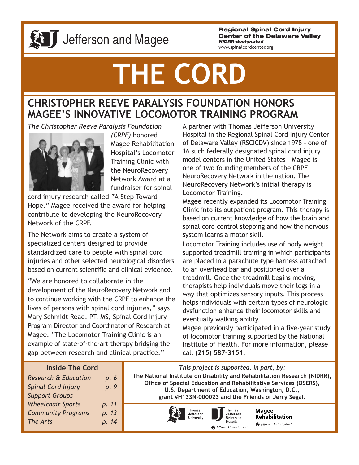

# **28 J** Jefferson and Magee

**Regional Spinal Cord Injury Center of the Delaware Valley** *NIDRR-designated*

www.spinalcordcenter.org

# **THE CORD**

# **CHRISTOPHER REEVE PARALYSIS FOUNDATION HONORS MAGEE'S INNOVATIVE LOCOMOTOR TRAINING PROGRAM**

*The Christopher Reeve Paralysis Foundation*



*(CRPF)* honored Magee Rehabilitation Hospital's Locomotor Training Clinic with the NeuroRecovery Network Award at a fundraiser for spinal

cord injury research called "A Step Toward Hope." Magee received the award for helping contribute to developing the NeuroRecovery Network of the CRPF.

The Network aims to create a system of specialized centers designed to provide standardized care to people with spinal cord injuries and other selected neurological disorders based on current scientific and clinical evidence.

"We are honored to collaborate in the development of the NeuroRecovery Network and to continue working with the CRPF to enhance the lives of persons with spinal cord injuries," says Mary Schmidt Read, PT, MS, Spinal Cord Injury Program Director and Coordinator of Research at Magee. "The Locomotor Training Clinic is an example of state-of-the-art therapy bridging the gap between research and clinical practice."

A partner with Thomas Jefferson University Hospital in the Regional Spinal Cord Injury Center of Delaware Valley (RSCICDV) since 1978 – one of 16 such federally designated spinal cord injury model centers in the United States – Magee is one of two founding members of the CRPF NeuroRecovery Network in the nation. The NeuroRecovery Network's initial therapy is Locomotor Training.

Magee recently expanded its Locomotor Training Clinic into its outpatient program. This therapy is based on current knowledge of how the brain and spinal cord control stepping and how the nervous system learns a motor skill.

Locomotor Training includes use of body weight supported treadmill training in which participants are placed in a parachute type harness attached to an overhead bar and positioned over a treadmill. Once the treadmill begins moving, therapists help individuals move their legs in a way that optimizes sensory inputs. This process helps individuals with certain types of neurologic dysfunction enhance their locomotor skills and eventually walking ability.

Magee previously participated in a five-year study of locomotor training supported by the National Institute of Health. For more information, please call **(215) 587-3151**.

#### **Inside The Cord**

| p. 6  |
|-------|
| p. 9  |
|       |
| p. 11 |
| p. 13 |
| p. 14 |
|       |

*This project is supported, in part, by:* **The National Institute on Disability and Rehabilitation Research (NIDRR), Office of Special Education and Rehabilitative Services (OSERS), U.S. Department of Education, Washington, D.C., grant #H133N-000023 and the Friends of Jerry Segal.**





**Magee** Rehabilitation Jefferson Health System®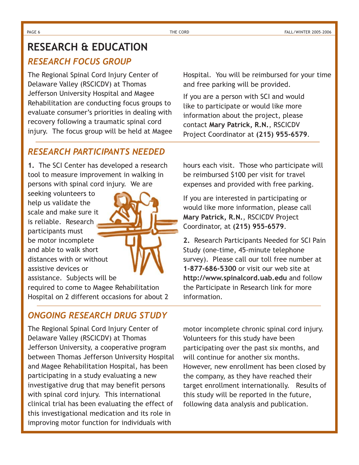# **RESEARCH & EDUCATION**

#### *RESEARCH FOCUS GROUP*

The Regional Spinal Cord Injury Center of Delaware Valley (RSCICDV) at Thomas Jefferson University Hospital and Magee Rehabilitation are conducting focus groups to evaluate consumer's priorities in dealing with recovery following a traumatic spinal cord injury. The focus group will be held at Magee

#### *RESEARCH PARTICIPANTS NEEDED*

**1.** The SCI Center has developed a research tool to measure improvement in walking in persons with spinal cord injury. We are

seeking volunteers to help us validate the scale and make sure it is reliable. Research participants must be motor incomplete and able to walk short distances with or without assistive devices or assistance. Subjects will be

required to come to Magee Rehabilitation Hospital on 2 different occasions for about 2

### *ONGOING RESEARCH DRUG STUDY*

The Regional Spinal Cord Injury Center of Delaware Valley (RSCICDV) at Thomas Jefferson University, a cooperative program between Thomas Jefferson University Hospital and Magee Rehabilitation Hospital, has been participating in a study evaluating a new investigative drug that may benefit persons with spinal cord injury. This international clinical trial has been evaluating the effect of this investigational medication and its role in improving motor function for individuals with

Hospital. You will be reimbursed for your time and free parking will be provided.

If you are a person with SCI and would like to participate or would like more information about the project, please contact **Mary Patrick, R.N.**, RSCICDV Project Coordinator at **(215) 955-6579**.

hours each visit. Those who participate will be reimbursed \$100 per visit for travel expenses and provided with free parking.

If you are interested in participating or would like more information, please call **Mary Patrick, R.N.**, RSCICDV Project Coordinator, at **(215) 955-6579**.

**2.** Research Participants Needed for SCI Pain Study (one-time, 45-minute telephone survey). Please call our toll free number at **1-877-686-5300** or visit our web site at **http://www.spinalcord.uab.edu** and follow the Participate in Research link for more information.

motor incomplete chronic spinal cord injury. Volunteers for this study have been participating over the past six months, and will continue for another six months. However, new enrollment has been closed by the company, as they have reached their target enrollment internationally. Results of this study will be reported in the future, following data analysis and publication.

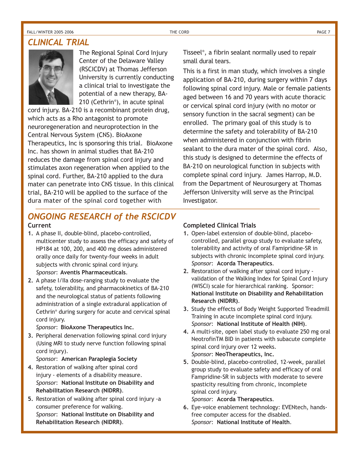#### FALL/WINTER 2005–2006 THE CORD PAGE 7

#### *CLINICAL TRIAL*



The Regional Spinal Cord Injury Center of the Delaware Valley (RSCICDV) at Thomas Jefferson University is currently conducting a clinical trial to investigate the potential of a new therapy, BA-210 (Cethrin® ), in acute spinal

cord injury. BA-210 is a recombinant protein drug, which acts as a Rho antagonist to promote neuroregeneration and neuroprotection in the Central Nervous System (CNS). BioAxone Therapeutics, Inc is sponsoring this trial. BioAxone Inc. has shown in animal studies that BA-210 reduces the damage from spinal cord injury and stimulates axon regeneration when applied to the spinal cord. Further, BA-210 applied to the dura mater can penetrate into CNS tissue. In this clinical trial, BA-210 will be applied to the surface of the dura mater of the spinal cord together with

Tisseel® , a fibrin sealant normally used to repair small dural tears.

This is a first in man study, which involves a single application of BA-210, during surgery within 7 days following spinal cord injury. Male or female patients aged between 16 and 70 years with acute thoracic or cervical spinal cord injury (with no motor or sensory function in the sacral segment) can be enrolled. The primary goal of this study is to determine the safety and tolerability of BA-210 when administered in conjunction with fibrin sealant to the dura mater of the spinal cord. Also, this study is designed to determine the effects of BA-210 on neurological function in subjects with complete spinal cord injury. James Harrop, M.D. from the Department of Neurosurgery at Thomas Jefferson University will serve as the Principal Investigator.

# *ONGOING RESEARCH of the RSCICDV*

#### **Current**

- **1.** A phase II, double-blind, placebo-controlled, multicenter study to assess the efficacy and safety of HP184 at 100, 200, and 400 mg doses administered orally once daily for twenty-four weeks in adult subjects with chronic spinal cord injury. *Sponsor*: **Aventis Pharmaceuticals**.
- **2.** A phase I/IIa dose-ranging study to evaluate the safety, tolerability, and pharmacokinetics of BA-210 and the neurological status of patients following administration of a single extradural application of Cethrin® during surgery for acute and cervical spinal cord injury.

#### *Sponsor*: **BioAxone Therapeutics Inc.**

**3.** Peripheral denervation following spinal cord injury (Using MRI to study nerve function following spinal cord injury).

#### *Sponsor*: **American Paraplegia Society**

- **4.** Restoration of walking after spinal cord injury - elements of a disability measure. *Sponsor*: **National Institute on Disability and Rehabilitation Research (NIDRR)**.
- **5.** Restoration of walking after spinal cord injury -a consumer preference for walking. *Sponsor*: **National Institute on Disability and Rehabilitation Research (NIDRR)**.

#### **Completed Clinical Trials**

- **1.** Open-label extension of double-blind, placebocontrolled, parallel group study to evaluate safety, tolerability and activity of oral Famipridine-SR in subjects with chronic incomplete spinal cord injury. *Sponsor*: **Acorda Therapeutics**.
- **2.** Restoration of walking after spinal cord injury validation of the Walking Index for Spinal Cord Injury (WISCI) scale for hierarchical ranking. Sponsor: **National Institute on Disability and Rehabilitation Research (NIDRR)**.
- **3.** Study the effects of Body Weight Supported Treadmill Training in acute incomplete spinal cord injury. *Sponsor*: **National Institute of Health (NIH)**.
- **4.** A multi-site, open label study to evaluate 250 mg oral NeotrofinTM BID in patients with subacute complete spinal cord injury over 12 weeks. *Sponsor*: **NeoTherapeutics, Inc.**
- **5.** Double-blind, placebo-controlled, 12-week, parallel group study to evaluate safety and efficacy of oral Fampridine-SR in subjects with moderate to severe spasticity resulting from chronic, incomplete spinal cord injury.

*Sponsor*: **Acorda Therapeutics**.

**6.** Eye-voice enablement technology: EVENtech, handsfree computer access for the disabled. *Sponsor*: **National Institute of Health**.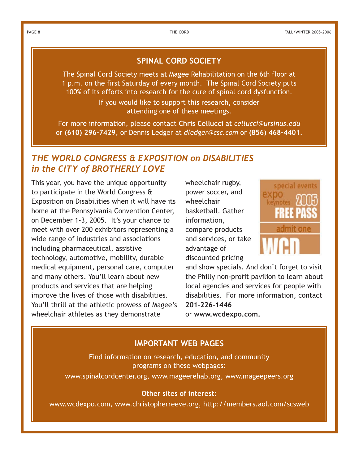#### **SPINAL CORD SOCIETY**

The Spinal Cord Society meets at Magee Rehabilitation on the 6th floor at 1 p.m. on the first Saturday of every month. The Spinal Cord Society puts 100% of its efforts into research for the cure of spinal cord dysfunction.

> If you would like to support this research, consider attending one of these meetings.

For more information, please contact **Chris Cellucci** at *cellucci@ursinus.edu* or **(610) 296-7429**, or Dennis Ledger at *dledger@csc.com* or **(856) 468-4401**.

#### *THE WORLD CONGRESS & EXPOSITION on DISABILITIES in the CITY of BROTHERLY LOVE*

This year, you have the unique opportunity to participate in the World Congress & Exposition on Disabilities when it will have its home at the Pennsylvania Convention Center, on December 1-3, 2005. It's your chance to meet with over 200 exhibitors representing a wide range of industries and associations including pharmaceutical, assistive technology, automotive, mobility, durable medical equipment, personal care, computer and many others. You'll learn about new products and services that are helping improve the lives of those with disabilities. You'll thrill at the athletic prowess of Magee's wheelchair athletes as they demonstrate

wheelchair rugby, power soccer, and wheelchair basketball. Gather information, compare products and services, or take advantage of discounted pricing



and show specials. And don't forget to visit the Philly non-profit pavilion to learn about local agencies and services for people with disabilities. For more information, contact **201-226-1446**

or **www.wcdexpo.com.**

#### **IMPORTANT WEB PAGES**

Find information on research, education, and community programs on these webpages:

www.spinalcordcenter.org, www.mageerehab.org, www.mageepeers.org

#### **Other sites of interest:**

www.wcdexpo.com, www.christopherreeve.org, http://members.aol.com/scsweb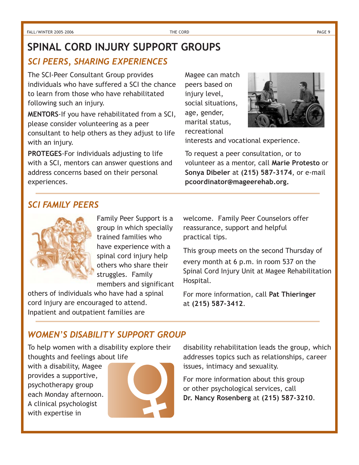# **SPINAL CORD INJURY SUPPORT GROUPS**

#### *SCI PEERS, SHARING EXPERIENCES*

The SCI-Peer Consultant Group provides individuals who have suffered a SCI the chance to learn from those who have rehabilitated following such an injury.

**MENTORS**-If you have rehabilitated from a SCI, please consider volunteering as a peer consultant to help others as they adjust to life with an injury.

**PROTEGES**-For individuals adjusting to life with a SCI, mentors can answer questions and address concerns based on their personal experiences.

Magee can match peers based on injury level, social situations, age, gender, marital status, recreational



interests and vocational experience.

To request a peer consultation, or to volunteer as a mentor, call **Marie Protesto** or **Sonya Dibeler** at **(215) 587-3174**, or e-mail **pcoordinator@mageerehab.org.**

#### *SCI FAMILY PEERS*



Family Peer Support is a group in which specially trained families who have experience with a spinal cord injury help others who share their struggles. Family members and significant

others of individuals who have had a spinal cord injury are encouraged to attend. Inpatient and outpatient families are

welcome. Family Peer Counselors offer reassurance, support and helpful practical tips.

This group meets on the second Thursday of every month at 6 p.m. in room 537 on the Spinal Cord Injury Unit at Magee Rehabilitation Hospital.

For more information, call **Pat Thieringer** at **(215) 587-3412**.

#### *WOMEN'S DISABILITY SUPPORT GROUP*

To help women with a disability explore their thoughts and feelings about life

with a disability, Magee provides a supportive, psychotherapy group each Monday afternoon. A clinical psychologist with expertise in



disability rehabilitation leads the group, which addresses topics such as relationships, career issues, intimacy and sexuality.

For more information about this group or other psychological services, call **Dr. Nancy Rosenberg** at **(215) 587-3210**.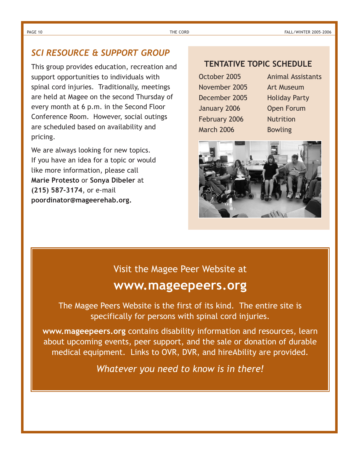#### *SCI RESOURCE & SUPPORT GROUP*

This group provides education, recreation and support opportunities to individuals with spinal cord injuries. Traditionally, meetings are held at Magee on the second Thursday of every month at 6 p.m. in the Second Floor Conference Room. However, social outings are scheduled based on availability and pricing.

We are always looking for new topics. If you have an idea for a topic or would like more information, please call **Marie Protesto** or **Sonya Dibeler** at **(215) 587-3174**, or e-mail **poordinator@mageerehab.org.**

#### **TENTATIVE TOPIC SCHEDULE**

November 2005 Art Museum December 2005 Holiday Party January 2006 Open Forum February 2006 Nutrition March 2006 Bowling

October 2005 Animal Assistants



#### Visit the Magee Peer Website at

# **www.mageepeers.org**

The Magee Peers Website is the first of its kind. The entire site is specifically for persons with spinal cord injuries.

**www.mageepeers.org** contains disability information and resources, learn about upcoming events, peer support, and the sale or donation of durable medical equipment. Links to OVR, DVR, and hireAbility are provided.

*Whatever you need to know is in there!*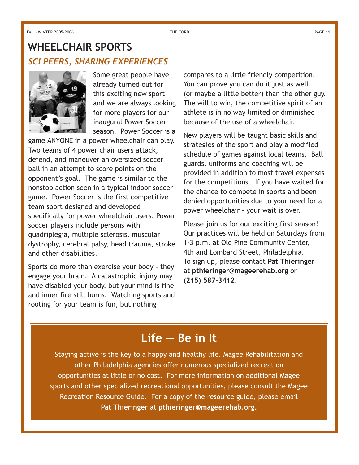# *SCI PEERS, SHARING EXPERIENCES* **WHEELCHAIR SPORTS**



Some great people have already turned out for this exciting new sport and we are always looking for more players for our inaugural Power Soccer season. Power Soccer is a

game ANYONE in a power wheelchair can play. Two teams of 4 power chair users attack, defend, and maneuver an oversized soccer ball in an attempt to score points on the opponent's goal. The game is similar to the nonstop action seen in a typical indoor soccer game. Power Soccer is the first competitive team sport designed and developed specifically for power wheelchair users. Power soccer players include persons with quadriplegia, multiple sclerosis, muscular dystrophy, cerebral palsy, head trauma, stroke and other disabilities.

Sports do more than exercise your body - they engage your brain. A catastrophic injury may have disabled your body, but your mind is fine and inner fire still burns. Watching sports and rooting for your team is fun, but nothing

compares to a little friendly competition. You can prove you can do it just as well (or maybe a little better) than the other guy. The will to win, the competitive spirit of an athlete is in no way limited or diminished because of the use of a wheelchair.

New players will be taught basic skills and strategies of the sport and play a modified schedule of games against local teams. Ball guards, uniforms and coaching will be provided in addition to most travel expenses for the competitions. If you have waited for the chance to compete in sports and been denied opportunities due to your need for a power wheelchair – your wait is over.

Please join us for our exciting first season! Our practices will be held on Saturdays from 1-3 p.m. at Old Pine Community Center, 4th and Lombard Street, Philadelphia. To sign up, please contact **Pat Thieringer** at **pthieringer@mageerehab.org** or **(215) 587-3412**.

# **Life — Be in It**

Staying active is the key to a happy and healthy life. Magee Rehabilitation and other Philadelphia agencies offer numerous specialized recreation opportunities at little or no cost. For more information on additional Magee sports and other specialized recreational opportunities, please consult the Magee Recreation Resource Guide. For a copy of the resource guide, please email **Pat Thieringer** at **pthieringer@mageerehab.org.**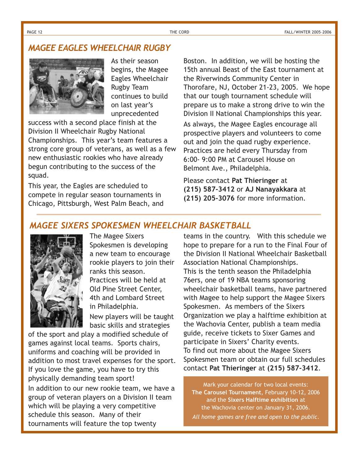#### *MAGEE EAGLES WHEELCHAIR RUGBY*



As their season begins, the Magee Eagles Wheelchair Rugby Team continues to build on last year's unprecedented

success with a second place finish at the Division II Wheelchair Rugby National Championships. This year's team features a strong core group of veterans, as well as a few new enthusiastic rookies who have already begun contributing to the success of the squad.

This year, the Eagles are scheduled to compete in regular season tournaments in Chicago, Pittsburgh, West Palm Beach, and Boston. In addition, we will be hosting the 15th annual Beast of the East tournament at the Riverwinds Community Center in Thorofare, NJ, October 21-23, 2005. We hope that our tough tournament schedule will prepare us to make a strong drive to win the Division II National Championships this year.

As always, the Magee Eagles encourage all prospective players and volunteers to come out and join the quad rugby experience. Practices are held every Thursday from 6:00- 9:00 PM at Carousel House on Belmont Ave., Philadelphia.

Please contact **Pat Thieringer** at **(215) 587-3412** or **AJ Nanayakkara** at **(215) 205-3076** for more information.

#### *MAGEE SIXERS SPOKESMEN WHEELCHAIR BASKETBALL*



The Magee Sixers Spokesmen is developing a new team to encourage rookie players to join their ranks this season. Practices will be held at Old Pine Street Center, 4th and Lombard Street in Philadelphia.

New players will be taught basic skills and strategies

of the sport and play a modified schedule of games against local teams. Sports chairs, uniforms and coaching will be provided in addition to most travel expenses for the sport. If you love the game, you have to try this physically demanding team sport! In addition to our new rookie team, we have a group of veteran players on a Division II team which will be playing a very competitive schedule this season. Many of their tournaments will feature the top twenty

teams in the country. With this schedule we hope to prepare for a run to the Final Four of the Division II National Wheelchair Basketball Association National Championships. This is the tenth season the Philadelphia 76ers, one of 19 NBA teams sponsoring wheelchair basketball teams, have partnered with Magee to help support the Magee Sixers Spokesmen. As members of the Sixers Organization we play a halftime exhibition at the Wachovia Center, publish a team media guide, receive tickets to Sixer Games and participate in Sixers' Charity events. To find out more about the Magee Sixers Spokesmen team or obtain our full schedules contact **Pat Thieringer** at **(215) 587-3412**.

Mark your calendar for two local events: **The Carousel Tournament**, February 10-12, 2006 and the **Sixers Halftime exhibition** at the Wachovia center on January 31, 2006. *All home games are free and open to the public*.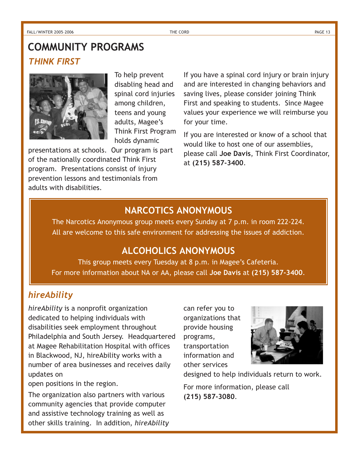# *THINK FIRST* **COMMUNITY PROGRAMS**



To help prevent disabling head and spinal cord injuries among children, teens and young adults, Magee's Think First Program holds dynamic

presentations at schools. Our program is part of the nationally coordinated Think First program. Presentations consist of injury prevention lessons and testimonials from adults with disabilities.

If you have a spinal cord injury or brain injury and are interested in changing behaviors and saving lives, please consider joining Think First and speaking to students. Since Magee values your experience we will reimburse you for your time.

If you are interested or know of a school that would like to host one of our assemblies, please call **Joe Davis**, Think First Coordinator, at **(215) 587-3400**.

#### **NARCOTICS ANONYMOUS**

The Narcotics Anonymous group meets every Sunday at 7 p.m. in room 222-224. All are welcome to this safe environment for addressing the issues of addiction.

## **ALCOHOLICS ANONYMOUS**

This group meets every Tuesday at 8 p.m. in Magee's Cafeteria. For more information about NA or AA, please call **Joe Davis** at **(215) 587-3400**.

### *hireAbility*

*hireAbility* is a nonprofit organization dedicated to helping individuals with disabilities seek employment throughout Philadelphia and South Jersey. Headquartered at Magee Rehabilitation Hospital with offices in Blackwood, NJ, hireAbility works with a number of area businesses and receives daily updates on

open positions in the region.

The organization also partners with various community agencies that provide computer and assistive technology training as well as other skills training. In addition, *hireAbility* can refer you to organizations that provide housing programs, transportation information and other services



designed to help individuals return to work.

For more information, please call **(215) 587-3080**.